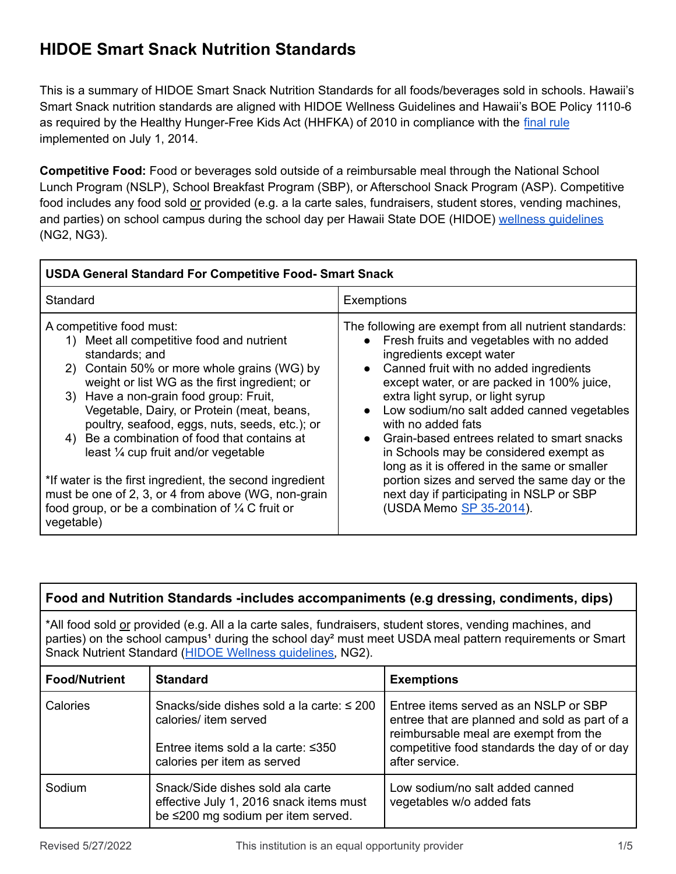# **HIDOE Smart Snack Nutrition Standards**

This is a summary of HIDOE Smart Snack Nutrition Standards for all foods/beverages sold in schools. Hawaii's Smart Snack nutrition standards are aligned with HIDOE Wellness Guidelines and Hawaii's BOE Policy 1110-6 as required by the Healthy Hunger-Free Kids Act (HHFKA) of 2010 in compliance with the [final](https://www.fns.usda.gov/cn/fr-072916d) rule implemented on July 1, 2014.

**Competitive Food:** Food or beverages sold outside of a reimbursable meal through the National School Lunch Program (NSLP), School Breakfast Program (SBP), or Afterschool Snack Program (ASP). Competitive food includes any food sold or provided (e.g. a la carte sales, fundraisers, student stores, vending machines, and parties) on school campus during the school day per Hawaii State DOE (HIDOE) wellness quidelines (NG2, NG3).

| <b>USDA General Standard For Competitive Food- Smart Snack</b>                                                                                                                                                                                                                                                                                                                                                                                                                                                                                                                                                            |                                                                                                                                                                                                                                                                                                                                                                                                                                                                                                                                                                                                 |  |  |  |  |  |
|---------------------------------------------------------------------------------------------------------------------------------------------------------------------------------------------------------------------------------------------------------------------------------------------------------------------------------------------------------------------------------------------------------------------------------------------------------------------------------------------------------------------------------------------------------------------------------------------------------------------------|-------------------------------------------------------------------------------------------------------------------------------------------------------------------------------------------------------------------------------------------------------------------------------------------------------------------------------------------------------------------------------------------------------------------------------------------------------------------------------------------------------------------------------------------------------------------------------------------------|--|--|--|--|--|
| Standard                                                                                                                                                                                                                                                                                                                                                                                                                                                                                                                                                                                                                  | Exemptions                                                                                                                                                                                                                                                                                                                                                                                                                                                                                                                                                                                      |  |  |  |  |  |
| A competitive food must:<br>1) Meet all competitive food and nutrient<br>standards; and<br>2) Contain 50% or more whole grains (WG) by<br>weight or list WG as the first ingredient; or<br>3) Have a non-grain food group: Fruit,<br>Vegetable, Dairy, or Protein (meat, beans,<br>poultry, seafood, eggs, nuts, seeds, etc.); or<br>4) Be a combination of food that contains at<br>least 1/4 cup fruit and/or vegetable<br>*If water is the first ingredient, the second ingredient<br>must be one of 2, 3, or 4 from above (WG, non-grain<br>food group, or be a combination of $\frac{1}{4}$ C fruit or<br>vegetable) | The following are exempt from all nutrient standards:<br>Fresh fruits and vegetables with no added<br>ingredients except water<br>Canned fruit with no added ingredients<br>except water, or are packed in 100% juice,<br>extra light syrup, or light syrup<br>Low sodium/no salt added canned vegetables<br>with no added fats<br>Grain-based entrees related to smart snacks<br>in Schools may be considered exempt as<br>long as it is offered in the same or smaller<br>portion sizes and served the same day or the<br>next day if participating in NSLP or SBP<br>(USDA Memo SP 35-2014). |  |  |  |  |  |

| Food and Nutrition Standards -includes accompaniments (e.g dressing, condiments, dips)                                                                                                                                                                                                                    |                                                                                                                                                    |                                                                                                                                                                                                   |  |  |  |  |
|-----------------------------------------------------------------------------------------------------------------------------------------------------------------------------------------------------------------------------------------------------------------------------------------------------------|----------------------------------------------------------------------------------------------------------------------------------------------------|---------------------------------------------------------------------------------------------------------------------------------------------------------------------------------------------------|--|--|--|--|
| *All food sold or provided (e.g. All a la carte sales, fundraisers, student stores, vending machines, and<br>parties) on the school campus <sup>1</sup> during the school day <sup>2</sup> must meet USDA meal pattern requirements or Smart<br>Snack Nutrient Standard (HIDOE Wellness quidelines, NG2). |                                                                                                                                                    |                                                                                                                                                                                                   |  |  |  |  |
| <b>Food/Nutrient</b>                                                                                                                                                                                                                                                                                      | <b>Standard</b>                                                                                                                                    | <b>Exemptions</b>                                                                                                                                                                                 |  |  |  |  |
| Calories                                                                                                                                                                                                                                                                                                  | Snacks/side dishes sold a la carte: $\leq 200$<br>calories/ item served<br>Entree items sold a la carte: $\leq$ 350<br>calories per item as served | Entree items served as an NSLP or SBP<br>entree that are planned and sold as part of a<br>reimbursable meal are exempt from the<br>competitive food standards the day of or day<br>after service. |  |  |  |  |
| Sodium                                                                                                                                                                                                                                                                                                    | Snack/Side dishes sold ala carte<br>effective July 1, 2016 snack items must<br>be ≤200 mg sodium per item served.                                  | Low sodium/no salt added canned<br>vegetables w/o added fats                                                                                                                                      |  |  |  |  |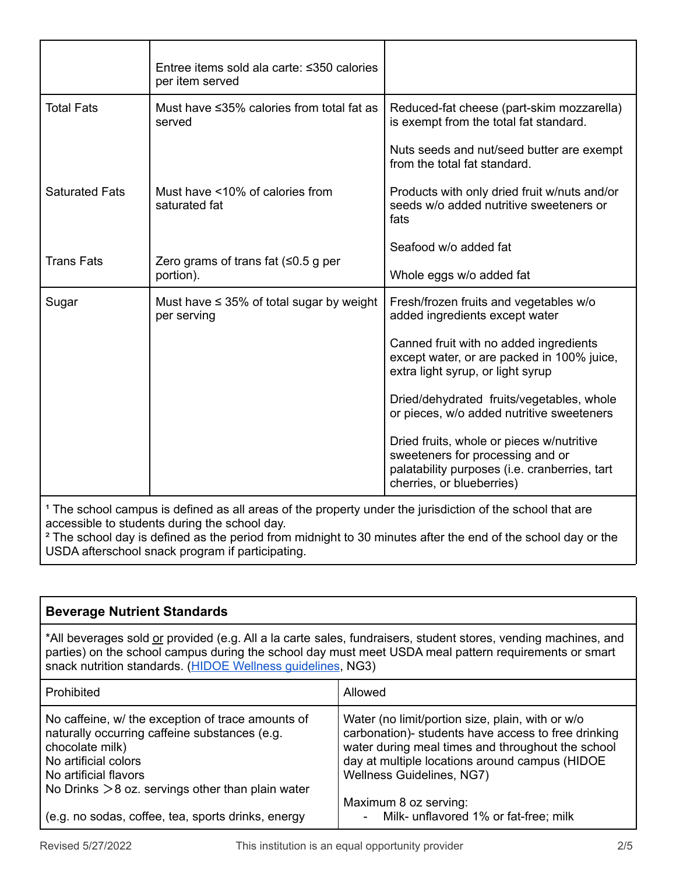| Entree items sold ala carte: ≤350 calories<br>per item served |                                                                                                                                                             |  |  |  |
|---------------------------------------------------------------|-------------------------------------------------------------------------------------------------------------------------------------------------------------|--|--|--|
| Must have ≤35% calories from total fat as<br>served           | Reduced-fat cheese (part-skim mozzarella)<br>is exempt from the total fat standard.                                                                         |  |  |  |
|                                                               | Nuts seeds and nut/seed butter are exempt<br>from the total fat standard.                                                                                   |  |  |  |
| Must have <10% of calories from<br>saturated fat              | Products with only dried fruit w/nuts and/or<br>seeds w/o added nutritive sweeteners or<br>fats                                                             |  |  |  |
|                                                               | Seafood w/o added fat                                                                                                                                       |  |  |  |
| portion).                                                     | Whole eggs w/o added fat                                                                                                                                    |  |  |  |
| Must have $\leq$ 35% of total sugar by weight<br>per serving  | Fresh/frozen fruits and vegetables w/o<br>added ingredients except water                                                                                    |  |  |  |
|                                                               | Canned fruit with no added ingredients<br>except water, or are packed in 100% juice,<br>extra light syrup, or light syrup                                   |  |  |  |
|                                                               | Dried/dehydrated fruits/vegetables, whole<br>or pieces, w/o added nutritive sweeteners                                                                      |  |  |  |
|                                                               | Dried fruits, whole or pieces w/nutritive<br>sweeteners for processing and or<br>palatability purposes (i.e. cranberries, tart<br>cherries, or blueberries) |  |  |  |
|                                                               | Zero grams of trans fat $(50.5$ g per                                                                                                                       |  |  |  |

<sup>1</sup> The school campus is defined as all areas of the property under the jurisdiction of the school that are accessible to students during the school day.

² The school day is defined as the period from midnight to 30 minutes after the end of the school day or the USDA afterschool snack program if participating.

#### **Beverage Nutrient Standards** \*All beverages sold or provided (e.g. All a la carte sales, fundraisers, student stores, vending machines, and parties) on the school campus during the school day must meet USDA meal pattern requirements or smart snack nutrition standards. (HIDOE Wellness [guidelines](https://www.hawaiipublicschools.org/TeachingAndLearning/HealthAndNutrition/WellnessGuidelines/Pages/home.aspx), NG3) Prohibited and Allowed Allowed No caffeine, w/ the exception of trace amounts of naturally occurring caffeine substances (e.g. chocolate milk) No artificial colors No artificial flavors No Drinks  $>8$  oz. servings other than plain water (e.g. no sodas, coffee, tea, sports drinks, energy Water (no limit/portion size, plain, with or w/o carbonation)- students have access to free drinking water during meal times and throughout the school day at multiple locations around campus (HIDOE Wellness Guidelines, NG7) Maximum 8 oz serving: Milk- unflavored 1% or fat-free; milk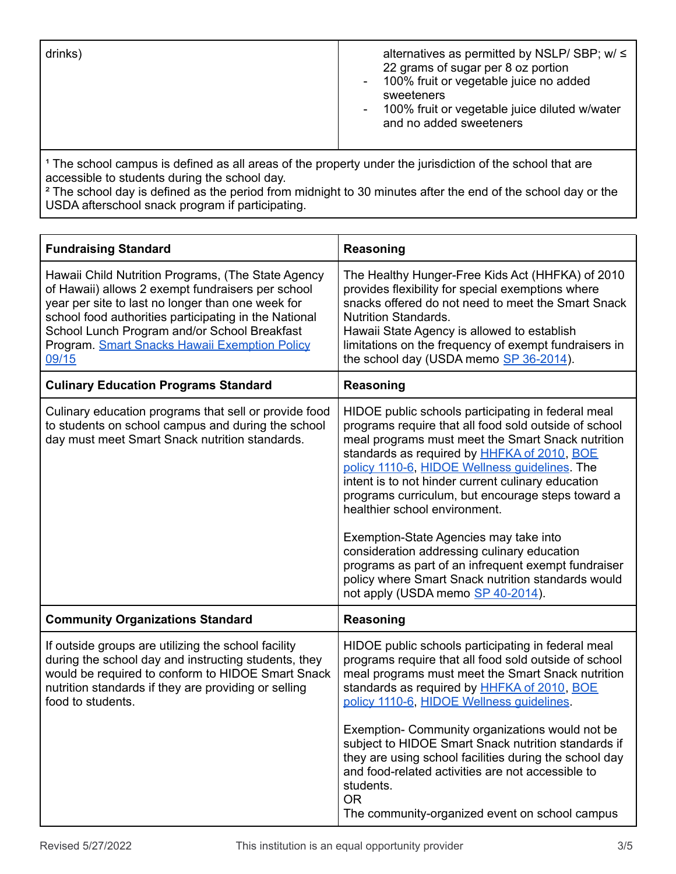| drinks) | alternatives as permitted by NSLP/ SBP; $w / \leq$<br>22 grams of sugar per 8 oz portion<br>- 100% fruit or vegetable juice no added<br>sweeteners<br>- 100% fruit or vegetable juice diluted w/water<br>and no added sweeteners |
|---------|----------------------------------------------------------------------------------------------------------------------------------------------------------------------------------------------------------------------------------|
|---------|----------------------------------------------------------------------------------------------------------------------------------------------------------------------------------------------------------------------------------|

<sup>1</sup> The school campus is defined as all areas of the property under the jurisdiction of the school that are accessible to students during the school day.

<sup>2</sup> The school day is defined as the period from midnight to 30 minutes after the end of the school day or the USDA afterschool snack program if participating.

| <b>Fundraising Standard</b>                                                                                                                                                                                                                                                                                                     | Reasoning                                                                                                                                                                                                                                                                                                                                                                                                                                                                                                                                                                                                                                                       |  |  |  |  |
|---------------------------------------------------------------------------------------------------------------------------------------------------------------------------------------------------------------------------------------------------------------------------------------------------------------------------------|-----------------------------------------------------------------------------------------------------------------------------------------------------------------------------------------------------------------------------------------------------------------------------------------------------------------------------------------------------------------------------------------------------------------------------------------------------------------------------------------------------------------------------------------------------------------------------------------------------------------------------------------------------------------|--|--|--|--|
| Hawaii Child Nutrition Programs, (The State Agency<br>of Hawaii) allows 2 exempt fundraisers per school<br>year per site to last no longer than one week for<br>school food authorities participating in the National<br>School Lunch Program and/or School Breakfast<br>Program. Smart Snacks Hawaii Exemption Policy<br>09/15 | The Healthy Hunger-Free Kids Act (HHFKA) of 2010<br>provides flexibility for special exemptions where<br>snacks offered do not need to meet the Smart Snack<br><b>Nutrition Standards.</b><br>Hawaii State Agency is allowed to establish<br>limitations on the frequency of exempt fundraisers in<br>the school day (USDA memo SP 36-2014).                                                                                                                                                                                                                                                                                                                    |  |  |  |  |
| <b>Culinary Education Programs Standard</b>                                                                                                                                                                                                                                                                                     | Reasoning                                                                                                                                                                                                                                                                                                                                                                                                                                                                                                                                                                                                                                                       |  |  |  |  |
| Culinary education programs that sell or provide food<br>to students on school campus and during the school<br>day must meet Smart Snack nutrition standards.                                                                                                                                                                   | HIDOE public schools participating in federal meal<br>programs require that all food sold outside of school<br>meal programs must meet the Smart Snack nutrition<br>standards as required by <b>HHFKA of 2010</b> , BOE<br>policy 1110-6, HIDOE Wellness quidelines. The<br>intent is to not hinder current culinary education<br>programs curriculum, but encourage steps toward a<br>healthier school environment.<br>Exemption-State Agencies may take into<br>consideration addressing culinary education<br>programs as part of an infrequent exempt fundraiser<br>policy where Smart Snack nutrition standards would<br>not apply (USDA memo SP 40-2014). |  |  |  |  |
| <b>Community Organizations Standard</b>                                                                                                                                                                                                                                                                                         | <b>Reasoning</b>                                                                                                                                                                                                                                                                                                                                                                                                                                                                                                                                                                                                                                                |  |  |  |  |
| If outside groups are utilizing the school facility<br>during the school day and instructing students, they<br>would be required to conform to HIDOE Smart Snack<br>nutrition standards if they are providing or selling<br>food to students.                                                                                   | HIDOE public schools participating in federal meal<br>programs require that all food sold outside of school<br>meal programs must meet the Smart Snack nutrition<br>standards as required by HHFKA of 2010, BOE<br>policy 1110-6, HIDOE Wellness quidelines.<br>Exemption- Community organizations would not be<br>subject to HIDOE Smart Snack nutrition standards if<br>they are using school facilities during the school day<br>and food-related activities are not accessible to<br>students.<br><b>OR</b><br>The community-organized event on school campus                                                                                               |  |  |  |  |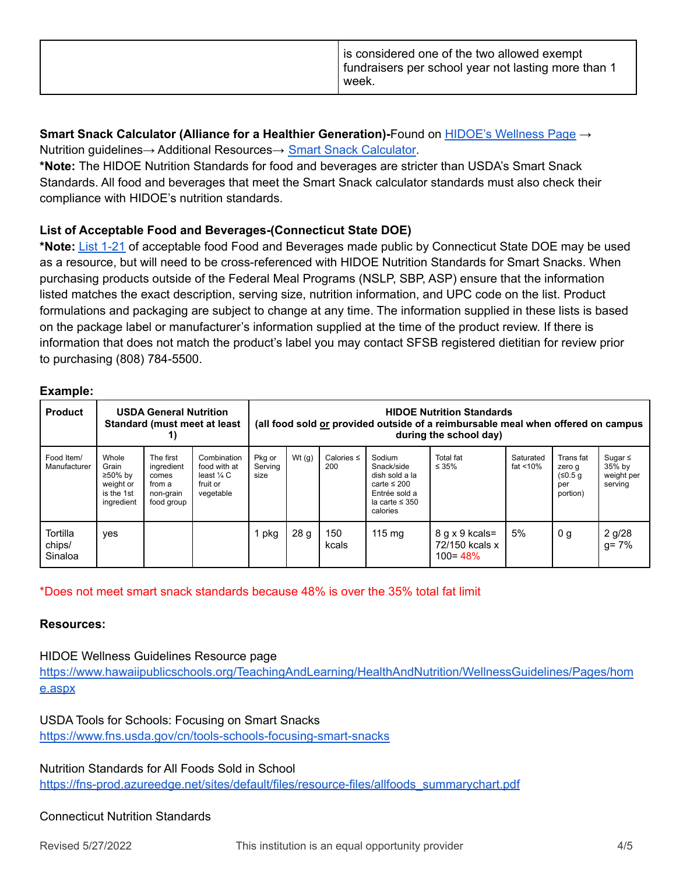|  | is considered one of the two allowed exempt<br>fundraisers per school year not lasting more than 1<br>week. |
|--|-------------------------------------------------------------------------------------------------------------|
|--|-------------------------------------------------------------------------------------------------------------|

**Smart Snack Calculator (Alliance for a Healthier Generation)-**Found on HIDOE's [Wellness](https://www.hawaiipublicschools.org/TeachingAndLearning/HealthAndNutrition/WellnessGuidelines/Pages/home.aspx) Page → Nutrition guidelines→ Additional Resources→ Smart Snack [Calculator.](https://foodplanner.healthiergeneration.org/calculator/)

**\*Note:** The HIDOE Nutrition Standards for food and beverages are stricter than USDA's Smart Snack Standards. All food and beverages that meet the Smart Snack calculator standards must also check their compliance with HIDOE's nutrition standards.

## **List of Acceptable Food and Beverages-(Connecticut State DOE)**

**\*Note:** List [1-21](https://portal.ct.gov/SDE/Nutrition/List-of-Acceptable-Foods-and-Beverages) of acceptable food Food and Beverages made public by Connecticut State DOE may be used as a resource, but will need to be cross-referenced with HIDOE Nutrition Standards for Smart Snacks. When purchasing products outside of the Federal Meal Programs (NSLP, SBP, ASP) ensure that the information listed matches the exact description, serving size, nutrition information, and UPC code on the list. Product formulations and packaging are subject to change at any time. The information supplied in these lists is based on the package label or manufacturer's information supplied at the time of the product review. If there is information that does not match the product's label you may contact SFSB registered dietitian for review prior to purchasing (808) 784-5500.

#### **Example:**

| <b>Product</b>                | <b>USDA General Nutrition</b><br>Standard (must meet at least<br>1) |                                                                       |                                                                               | <b>HIDOE Nutrition Standards</b><br>(all food sold or provided outside of a reimbursable meal when offered on campus<br>during the school day) |          |                        |                                                                                                                |                                                 |                          |                                                    |                                                 |
|-------------------------------|---------------------------------------------------------------------|-----------------------------------------------------------------------|-------------------------------------------------------------------------------|------------------------------------------------------------------------------------------------------------------------------------------------|----------|------------------------|----------------------------------------------------------------------------------------------------------------|-------------------------------------------------|--------------------------|----------------------------------------------------|-------------------------------------------------|
| Food Item/<br>Manufacturer    | Whole<br>Grain<br>≥50% by<br>weight or<br>is the 1st<br>ingredient  | The first<br>ingredient<br>comes<br>from a<br>non-grain<br>food group | Combination<br>food with at<br>least $\frac{1}{4}$ C<br>fruit or<br>vegetable | Pkg or<br>Serving<br>size                                                                                                                      | Wt $(q)$ | Calories $\leq$<br>200 | Sodium<br>Snack/side<br>dish sold a la<br>carte $\leq 200$<br>Entrée sold a<br>la carte $\leq$ 350<br>calories | Total fat<br>$\leq 35\%$                        | Saturated<br>fat $<$ 10% | Trans fat<br>zero q<br>(50.5 g)<br>per<br>portion) | Sugar $\leq$<br>35% by<br>weight per<br>serving |
| Tortilla<br>chips/<br>Sinaloa | yes                                                                 |                                                                       |                                                                               | pkg                                                                                                                                            | 28q      | 150<br>kcals           | $115 \text{ mg}$                                                                                               | 8 g x 9 kcals=<br>72/150 kcals x<br>$100 = 48%$ | 5%                       | 0 <sub>q</sub>                                     | $2 g/28$<br>g= 7%                               |

\*Does not meet smart snack standards because 48% is over the 35% total fat limit

#### **Resources:**

HIDOE Wellness Guidelines Resource page [https://www.hawaiipublicschools.org/TeachingAndLearning/HealthAndNutrition/WellnessGuidelines/Pages/hom](https://www.hawaiipublicschools.org/TeachingAndLearning/HealthAndNutrition/WellnessGuidelines/Pages/home.aspx) [e.aspx](https://www.hawaiipublicschools.org/TeachingAndLearning/HealthAndNutrition/WellnessGuidelines/Pages/home.aspx)

USDA Tools for Schools: Focusing on Smart Snacks <https://www.fns.usda.gov/cn/tools-schools-focusing-smart-snacks>

Nutrition Standards for All Foods Sold in School [https://fns-prod.azureedge.net/sites/default/files/resource-files/allfoods\\_summarychart.pdf](https://fns-prod.azureedge.net/sites/default/files/resource-files/allfoods_summarychart.pdf)

#### Connecticut Nutrition Standards